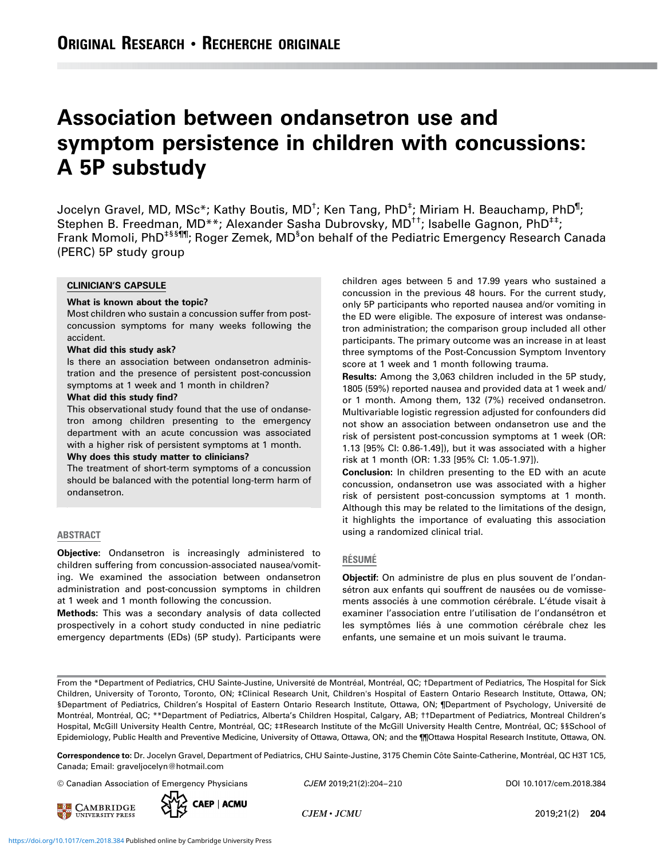# Association between ondansetron use and symptom persistence in children with concussions: A 5P substudy

Jocelyn Gravel, MD, MSc\*; Kathy Boutis, MD<sup>†</sup>; Ken Tang, PhD<sup>‡</sup>; Miriam H. Beauchamp, PhD<sup>¶</sup>; Stephen B. Freedman, MD\*\*; Alexander Sasha Dubrovsky, MD<sup>++</sup>; Isabelle Gagnon, PhD<sup>++</sup>; Frank Momoli, PhD<sup>त¶¶</sup>; Roger Zemek, MD<sup>§</sup>on behalf of the Pediatric Emergency Research Canada (PERC) 5P study group

## CLINICIAN'S CAPSULE

#### What is known about the topic?

Most children who sustain a concussion suffer from postconcussion symptoms for many weeks following the accident.

#### What did this study ask?

Is there an association between ondansetron administration and the presence of persistent post-concussion symptoms at 1 week and 1 month in children?

#### What did this study find?

This observational study found that the use of ondansetron among children presenting to the emergency department with an acute concussion was associated with a higher risk of persistent symptoms at 1 month. Why does this study matter to clinicians?

The treatment of short-term symptoms of a concussion should be balanced with the potential long-term harm of ondansetron.

#### ABSTRACT

Objective: Ondansetron is increasingly administered to children suffering from concussion-associated nausea/vomiting. We examined the association between ondansetron administration and post-concussion symptoms in children at 1 week and 1 month following the concussion.

Methods: This was a secondary analysis of data collected prospectively in a cohort study conducted in nine pediatric emergency departments (EDs) (5P study). Participants were children ages between 5 and 17.99 years who sustained a concussion in the previous 48 hours. For the current study, only 5P participants who reported nausea and/or vomiting in the ED were eligible. The exposure of interest was ondansetron administration; the comparison group included all other participants. The primary outcome was an increase in at least three symptoms of the Post-Concussion Symptom Inventory score at 1 week and 1 month following trauma.

Results: Among the 3,063 children included in the 5P study, 1805 (59%) reported nausea and provided data at 1 week and/ or 1 month. Among them, 132 (7%) received ondansetron. Multivariable logistic regression adjusted for confounders did not show an association between ondansetron use and the risk of persistent post-concussion symptoms at 1 week (OR: 1.13 [95% CI: 0.86-1.49]), but it was associated with a higher risk at 1 month (OR: 1.33 [95% CI: 1.05-1.97]).

Conclusion: In children presenting to the ED with an acute concussion, ondansetron use was associated with a higher risk of persistent post-concussion symptoms at 1 month. Although this may be related to the limitations of the design, it highlights the importance of evaluating this association using a randomized clinical trial.

#### RÉSUMÉ

Objectif: On administre de plus en plus souvent de l'ondansétron aux enfants qui souffrent de nausées ou de vomissements associés à une commotion cérébrale. L'étude visait à examiner l'association entre l'utilisation de l'ondansétron et les symptômes liés à une commotion cérébrale chez les enfants, une semaine et un mois suivant le trauma.

From the \*Department of Pediatrics, CHU Sainte-Justine, Université de Montréal, Montréal, QC; †Department of Pediatrics, The Hospital for Sick Children, University of Toronto, Toronto, ON; ‡Clinical Research Unit, Children's Hospital of Eastern Ontario Research Institute, Ottawa, ON; §Department of Pediatrics, Children's Hospital of Eastern Ontario Research Institute, Ottawa, ON; ¶Department of Psychology, Université de Montréal, Montréal, QC; \*\*Department of Pediatrics, Alberta's Children Hospital, Calgary, AB; ††Department of Pediatrics, Montreal Children's Hospital, McGill University Health Centre, Montréal, QC; ‡‡Research Institute of the McGill University Health Centre, Montréal, QC; §§School of Epidemiology, Public Health and Preventive Medicine, University of Ottawa, Ottawa, ON; and the ¶¶Ottawa Hospital Research Institute, Ottawa, ON.

Correspondence to: Dr. Jocelyn Gravel, Department of Pediatrics, CHU Sainte-Justine, 3175 Chemin Côte Sainte-Catherine, Montréal, QC H3T 1C5, Canada; Email: [graveljocelyn@hotmail.com](mailto:graveljocelyn@hotmail.com)

© Canadian Association of Emergency Physicians  $CJEM$  2019;21(2):204-210 DOI [10.1017/cem.2018.384](https://doi.org/10.1017/cem.2018.384)

**EN CAMBRIDGE** 



CJEM 2019;21(2):204-210

 $CJEM \cdot JCMU$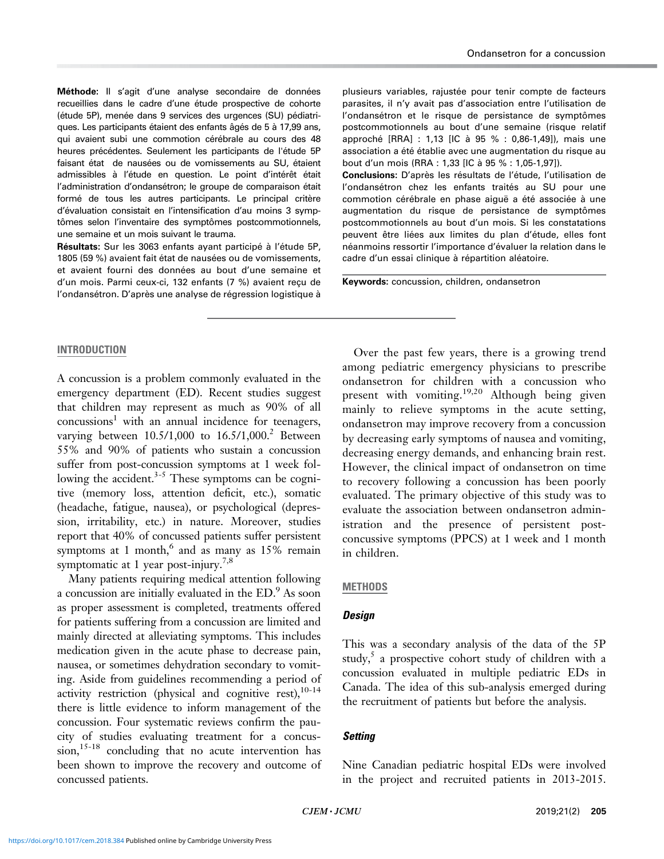Méthode: Il s'agit d'une analyse secondaire de données recueillies dans le cadre d'une étude prospective de cohorte (étude 5P), menée dans 9 services des urgences (SU) pédiatriques. Les participants étaient des enfants âgés de 5 à 17,99 ans, qui avaient subi une commotion cérébrale au cours des 48 heures précédentes. Seulement les participants de l'étude 5P faisant état de nausées ou de vomissements au SU, étaient admissibles à l'étude en question. Le point d'intérêt était l'administration d'ondansétron; le groupe de comparaison était formé de tous les autres participants. Le principal critère d'évaluation consistait en l'intensification d'au moins 3 symptômes selon l'inventaire des symptômes postcommotionnels, une semaine et un mois suivant le trauma.

Résultats: Sur les 3063 enfants avant participé à l'étude 5P. 1805 (59 %) avaient fait état de nausées ou de vomissements, et avaient fourni des données au bout d'une semaine et d'un mois. Parmi ceux-ci, 132 enfants (7 %) avaient reçu de l'ondansétron. D'après une analyse de régression logistique à plusieurs variables, rajustée pour tenir compte de facteurs parasites, il n'y avait pas d'association entre l'utilisation de l'ondansétron et le risque de persistance de symptômes postcommotionnels au bout d'une semaine (risque relatif approché [RRA] : 1,13 [IC à 95 % : 0,86-1,49]), mais une association a été établie avec une augmentation du risque au bout d'un mois (RRA : 1,33 [IC à 95 % : 1,05-1,97]).

Conclusions: D'après les résultats de l'étude, l'utilisation de l'ondansétron chez les enfants traités au SU pour une commotion cérébrale en phase aiguë a été associée à une augmentation du risque de persistance de symptômes postcommotionnels au bout d'un mois. Si les constatations peuvent être liées aux limites du plan d'étude, elles font néanmoins ressortir l'importance d'évaluer la relation dans le cadre d'un essai clinique à répartition aléatoire.

Keywords: concussion, children, ondansetron

## INTRODUCTION

A concussion is a problem commonly evaluated in the emergency department (ED). Recent studies suggest that children may represent as much as 90% of all  $\text{concussions}^1$  with an annual incidence for teenagers, varying between  $10.5/1,000$  to  $16.5/1,000$ <sup>2</sup> Between 55% and 90% of patients who sustain a concussion suffer from post-concussion symptoms at 1 week following the accident. $3-5$  These symptoms can be cognitive (memory loss, attention deficit, etc.), somatic (headache, fatigue, nausea), or psychological (depression, irritability, etc.) in nature. Moreover, studies report that 40% of concussed patients suffer persistent symptoms at 1 month, $^6$  and as many as 15% remain symptomatic at 1 year post-injury.<sup>7,8</sup>

Many patients requiring medical attention following a concussion are initially evaluated in the ED.<sup>9</sup> As soon as proper assessment is completed, treatments offered for patients suffering from a concussion are limited and mainly directed at alleviating symptoms. This includes medication given in the acute phase to decrease pain, nausea, or sometimes dehydration secondary to vomiting. Aside from guidelines recommending a period of activity restriction (physical and cognitive rest), $10-14$ there is little evidence to inform management of the concussion. Four systematic reviews confirm the paucity of studies evaluating treatment for a concus- $\sin^{15-18}$  concluding that no acute intervention has been shown to improve the recovery and outcome of concussed patients.

Over the past few years, there is a growing trend among pediatric emergency physicians to prescribe ondansetron for children with a concussion who present with vomiting.<sup>19,20</sup> Although being given mainly to relieve symptoms in the acute setting, ondansetron may improve recovery from a concussion by decreasing early symptoms of nausea and vomiting, decreasing energy demands, and enhancing brain rest. However, the clinical impact of ondansetron on time to recovery following a concussion has been poorly evaluated. The primary objective of this study was to evaluate the association between ondansetron administration and the presence of persistent postconcussive symptoms (PPCS) at 1 week and 1 month in children.

# **METHODS**

# **Design**

This was a secondary analysis of the data of the 5P study, $5$  a prospective cohort study of children with a concussion evaluated in multiple pediatric EDs in Canada. The idea of this sub-analysis emerged during the recruitment of patients but before the analysis.

# **Setting**

Nine Canadian pediatric hospital EDs were involved in the project and recruited patients in 2013-2015.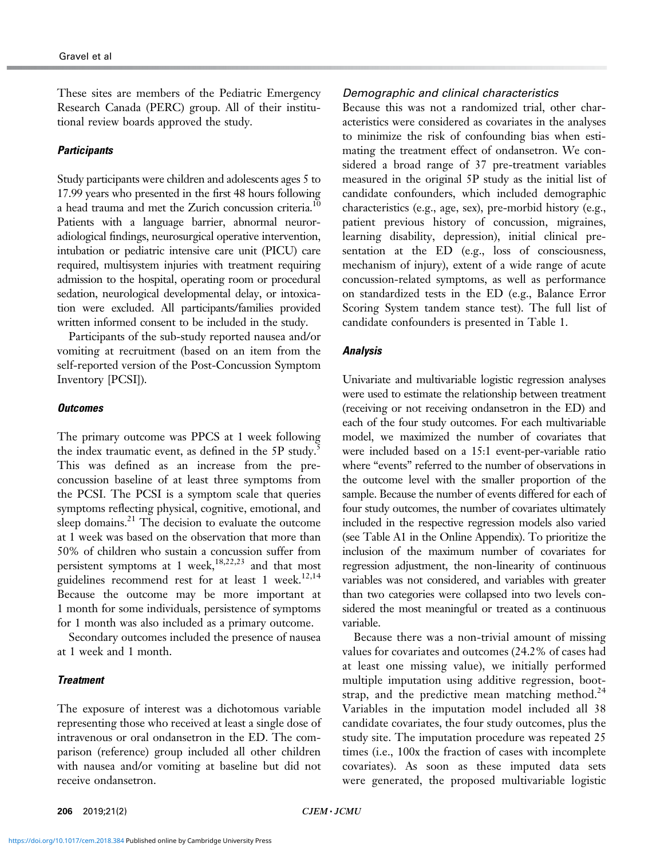These sites are members of the Pediatric Emergency Research Canada (PERC) group. All of their institutional review boards approved the study.

## **Participants**

Study participants were children and adolescents ages 5 to 17.99 years who presented in the first 48 hours following a head trauma and met the Zurich concussion criteria.<sup>10</sup> Patients with a language barrier, abnormal neuroradiological findings, neurosurgical operative intervention, intubation or pediatric intensive care unit (PICU) care required, multisystem injuries with treatment requiring admission to the hospital, operating room or procedural sedation, neurological developmental delay, or intoxication were excluded. All participants/families provided written informed consent to be included in the study.

Participants of the sub-study reported nausea and/or vomiting at recruitment (based on an item from the self-reported version of the Post-Concussion Symptom Inventory [PCSI]).

#### **Outcomes**

The primary outcome was PPCS at 1 week following the index traumatic event, as defined in the 5P study. $\dot{\cdot}$ This was defined as an increase from the preconcussion baseline of at least three symptoms from the PCSI. The PCSI is a symptom scale that queries symptoms reflecting physical, cognitive, emotional, and sleep domains. $^{21}$  The decision to evaluate the outcome at 1 week was based on the observation that more than 50% of children who sustain a concussion suffer from persistent symptoms at 1 week,<sup>18,22,23</sup> and that most guidelines recommend rest for at least 1 week. $^{12,14}$ Because the outcome may be more important at 1 month for some individuals, persistence of symptoms for 1 month was also included as a primary outcome.

Secondary outcomes included the presence of nausea at 1 week and 1 month.

## **Treatment**

The exposure of interest was a dichotomous variable representing those who received at least a single dose of intravenous or oral ondansetron in the ED. The comparison (reference) group included all other children with nausea and/or vomiting at baseline but did not receive ondansetron.

## Demographic and clinical characteristics

Because this was not a randomized trial, other characteristics were considered as covariates in the analyses to minimize the risk of confounding bias when estimating the treatment effect of ondansetron. We considered a broad range of 37 pre-treatment variables measured in the original 5P study as the initial list of candidate confounders, which included demographic characteristics (e.g., age, sex), pre-morbid history (e.g., patient previous history of concussion, migraines, learning disability, depression), initial clinical presentation at the ED (e.g., loss of consciousness, mechanism of injury), extent of a wide range of acute concussion-related symptoms, as well as performance on standardized tests in the ED (e.g., Balance Error Scoring System tandem stance test). The full list of candidate confounders is presented in Table 1.

## Analysis

Univariate and multivariable logistic regression analyses were used to estimate the relationship between treatment (receiving or not receiving ondansetron in the ED) and each of the four study outcomes. For each multivariable model, we maximized the number of covariates that were included based on a 15:1 event-per-variable ratio where "events" referred to the number of observations in the outcome level with the smaller proportion of the sample. Because the number of events differed for each of four study outcomes, the number of covariates ultimately included in the respective regression models also varied (see Table A1 in the Online Appendix). To prioritize the inclusion of the maximum number of covariates for regression adjustment, the non-linearity of continuous variables was not considered, and variables with greater than two categories were collapsed into two levels considered the most meaningful or treated as a continuous variable.

Because there was a non-trivial amount of missing values for covariates and outcomes (24.2% of cases had at least one missing value), we initially performed multiple imputation using additive regression, bootstrap, and the predictive mean matching method. $24$ Variables in the imputation model included all 38 candidate covariates, the four study outcomes, plus the study site. The imputation procedure was repeated 25 times (i.e., 100x the fraction of cases with incomplete covariates). As soon as these imputed data sets were generated, the proposed multivariable logistic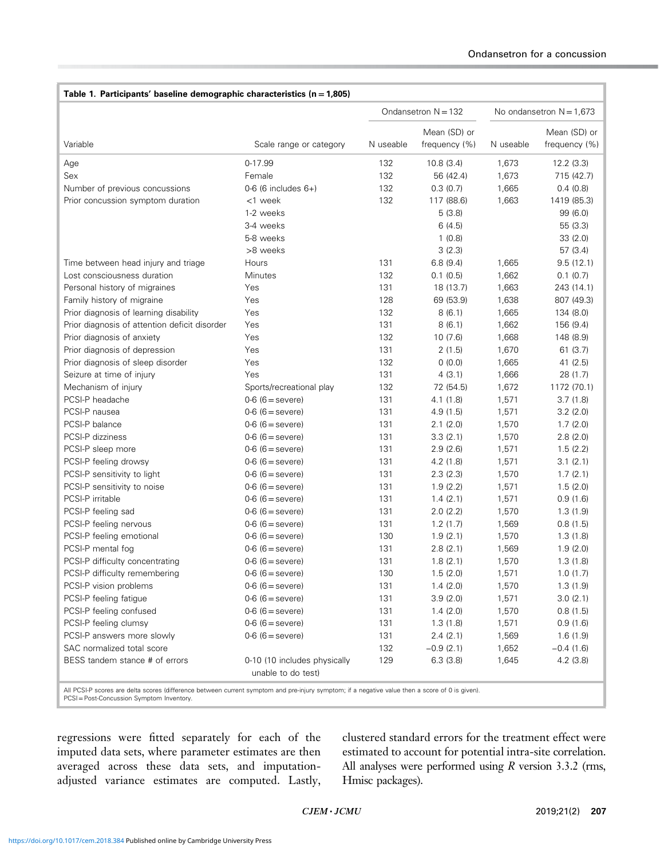| Table 1. Participants' baseline demographic characteristics ( $n = 1,805$ )                                                                                                                  |                                                    |                       |               |                            |               |  |  |
|----------------------------------------------------------------------------------------------------------------------------------------------------------------------------------------------|----------------------------------------------------|-----------------------|---------------|----------------------------|---------------|--|--|
|                                                                                                                                                                                              |                                                    | Ondansetron $N = 132$ |               | No ondansetron $N = 1,673$ |               |  |  |
|                                                                                                                                                                                              |                                                    |                       | Mean (SD) or  |                            | Mean (SD) or  |  |  |
| Variable                                                                                                                                                                                     | Scale range or category                            | N useable             | frequency (%) | N useable                  | frequency (%) |  |  |
| Age                                                                                                                                                                                          | 0-17.99                                            | 132                   | 10.8(3.4)     | 1,673                      | 12.2 (3.3)    |  |  |
| Sex                                                                                                                                                                                          | Female                                             | 132                   | 56 (42.4)     | 1,673                      | 715 (42.7)    |  |  |
| Number of previous concussions                                                                                                                                                               | $0-6$ (6 includes $6+$ )                           | 132                   | 0.3(0.7)      | 1,665                      | 0.4(0.8)      |  |  |
| Prior concussion symptom duration                                                                                                                                                            | <1 week                                            | 132                   | 117 (88.6)    | 1,663                      | 1419 (85.3)   |  |  |
|                                                                                                                                                                                              | 1-2 weeks                                          |                       | 5(3.8)        |                            | 99 (6.0)      |  |  |
|                                                                                                                                                                                              | 3-4 weeks                                          |                       | 6(4.5)        |                            | 55 (3.3)      |  |  |
|                                                                                                                                                                                              | 5-8 weeks                                          |                       | 1(0.8)        |                            | 33(2.0)       |  |  |
|                                                                                                                                                                                              | >8 weeks                                           |                       | 3(2.3)        |                            | 57(3.4)       |  |  |
| Time between head injury and triage                                                                                                                                                          | Hours                                              | 131                   | 6.8(9.4)      | 1,665                      | 9.5(12.1)     |  |  |
| Lost consciousness duration                                                                                                                                                                  | Minutes                                            | 132                   | 0.1(0.5)      | 1,662                      | 0.1(0.7)      |  |  |
| Personal history of migraines                                                                                                                                                                | Yes                                                | 131                   | 18 (13.7)     | 1,663                      | 243 (14.1)    |  |  |
| Family history of migraine                                                                                                                                                                   | Yes                                                | 128                   | 69 (53.9)     | 1,638                      | 807 (49.3)    |  |  |
| Prior diagnosis of learning disability                                                                                                                                                       | Yes                                                | 132                   | 8(6.1)        | 1,665                      | 134 (8.0)     |  |  |
| Prior diagnosis of attention deficit disorder                                                                                                                                                | Yes                                                | 131                   | 8(6.1)        | 1,662                      | 156 (9.4)     |  |  |
| Prior diagnosis of anxiety                                                                                                                                                                   | Yes                                                | 132                   | 10(7.6)       | 1,668                      | 148 (8.9)     |  |  |
| Prior diagnosis of depression                                                                                                                                                                | Yes                                                | 131                   | 2(1.5)        | 1,670                      | 61(3.7)       |  |  |
| Prior diagnosis of sleep disorder                                                                                                                                                            | Yes                                                | 132                   | 0(0.0)        | 1,665                      | 41 (2.5)      |  |  |
| Seizure at time of injury                                                                                                                                                                    | Yes                                                | 131                   | 4(3.1)        | 1,666                      | 28 (1.7)      |  |  |
| Mechanism of injury                                                                                                                                                                          | Sports/recreational play                           | 132                   | 72 (54.5)     | 1,672                      | 1172 (70.1)   |  |  |
| PCSI-P headache                                                                                                                                                                              | $0 - 6$ (6 = severe)                               | 131                   | 4.1(1.8)      | 1,571                      | 3.7(1.8)      |  |  |
| PCSI-P nausea                                                                                                                                                                                | $0 - 6$ (6 = severe)                               | 131                   | 4.9(1.5)      | 1,571                      | 3.2(2.0)      |  |  |
| PCSI-P balance                                                                                                                                                                               | $0 - 6$ (6 = severe)                               | 131                   | 2.1(2.0)      | 1,570                      | 1.7(2.0)      |  |  |
| PCSI-P dizziness                                                                                                                                                                             | $0-6$ (6 = severe)                                 | 131                   | 3.3(2.1)      | 1,570                      | 2.8(2.0)      |  |  |
| PCSI-P sleep more                                                                                                                                                                            | $0 - 6$ (6 = severe)                               | 131                   | 2.9(2.6)      | 1,571                      | 1.5(2.2)      |  |  |
| PCSI-P feeling drowsy                                                                                                                                                                        | $0 - 6$ (6 = severe)                               | 131                   | 4.2(1.8)      | 1,571                      | 3.1(2.1)      |  |  |
| PCSI-P sensitivity to light                                                                                                                                                                  | $0 - 6$ (6 = severe)                               | 131                   | 2.3(2.3)      | 1,570                      | 1.7(2.1)      |  |  |
| PCSI-P sensitivity to noise                                                                                                                                                                  | $0 - 6$ (6 = severe)                               | 131                   | 1.9(2.2)      | 1,571                      | 1.5(2.0)      |  |  |
| PCSI-P irritable                                                                                                                                                                             | $0 - 6$ (6 = severe)                               | 131                   | 1.4(2.1)      | 1,571                      | 0.9(1.6)      |  |  |
| PCSI-P feeling sad                                                                                                                                                                           | $0 - 6$ (6 = severe)                               | 131                   | 2.0(2.2)      | 1,570                      | 1.3(1.9)      |  |  |
| PCSI-P feeling nervous                                                                                                                                                                       | $0 - 6$ (6 = severe)                               | 131                   | 1.2(1.7)      | 1,569                      | 0.8(1.5)      |  |  |
| PCSI-P feeling emotional                                                                                                                                                                     | $0 - 6$ (6 = severe)                               | 130                   | 1.9(2.1)      | 1,570                      | 1.3(1.8)      |  |  |
| PCSI-P mental fog                                                                                                                                                                            | $0 - 6$ (6 = severe)                               | 131                   | 2.8(2.1)      | 1,569                      | 1.9(2.0)      |  |  |
| PCSI-P difficulty concentrating                                                                                                                                                              | $0-6$ (6 = severe)                                 | 131                   | 1.8(2.1)      | 1,570                      | 1.3(1.8)      |  |  |
| PCSI-P difficulty remembering                                                                                                                                                                | $0 - 6$ (6 = severe)                               | 130                   | 1.5(2.0)      | 1,571                      | 1.0(1.7)      |  |  |
| PCSI-P vision problems                                                                                                                                                                       | $0 - 6$ (6 = severe)                               | 131                   | 1.4(2.0)      | 1,570                      | 1.3(1.9)      |  |  |
| PCSI-P feeling fatigue                                                                                                                                                                       | $0-6$ (6 = severe)                                 | 131                   | 3.9(2.0)      | 1,571                      | 3.0(2.1)      |  |  |
| PCSI-P feeling confused                                                                                                                                                                      | $0 - 6$ (6 = severe)                               | 131                   | 1.4(2.0)      | 1,570                      | 0.8(1.5)      |  |  |
| PCSI-P feeling clumsy                                                                                                                                                                        | $0 - 6$ (6 = severe)                               | 131                   | 1.3(1.8)      | 1,571                      | 0.9(1.6)      |  |  |
| PCSI-P answers more slowly                                                                                                                                                                   | $0-6$ (6 = severe)                                 | 131                   | 2.4(2.1)      | 1,569                      | 1.6(1.9)      |  |  |
| SAC normalized total score                                                                                                                                                                   |                                                    | 132                   | $-0.9(2.1)$   | 1,652                      | $-0.4(1.6)$   |  |  |
| BESS tandem stance # of errors                                                                                                                                                               | 0-10 (10 includes physically<br>unable to do test) | 129                   | 6.3(3.8)      | 1,645                      | 4.2(3.8)      |  |  |
| All PCSI-P scores are delta scores (difference between current symptom and pre-injury symptom; if a negative value then a score of 0 is given).<br>PCSI = Post-Concussion Symptom Inventory. |                                                    |                       |               |                            |               |  |  |

regressions were fitted separately for each of the imputed data sets, where parameter estimates are then averaged across these data sets, and imputationadjusted variance estimates are computed. Lastly, clustered standard errors for the treatment effect were estimated to account for potential intra-site correlation. All analyses were performed using  $R$  version 3.3.2 (rms, Hmisc packages).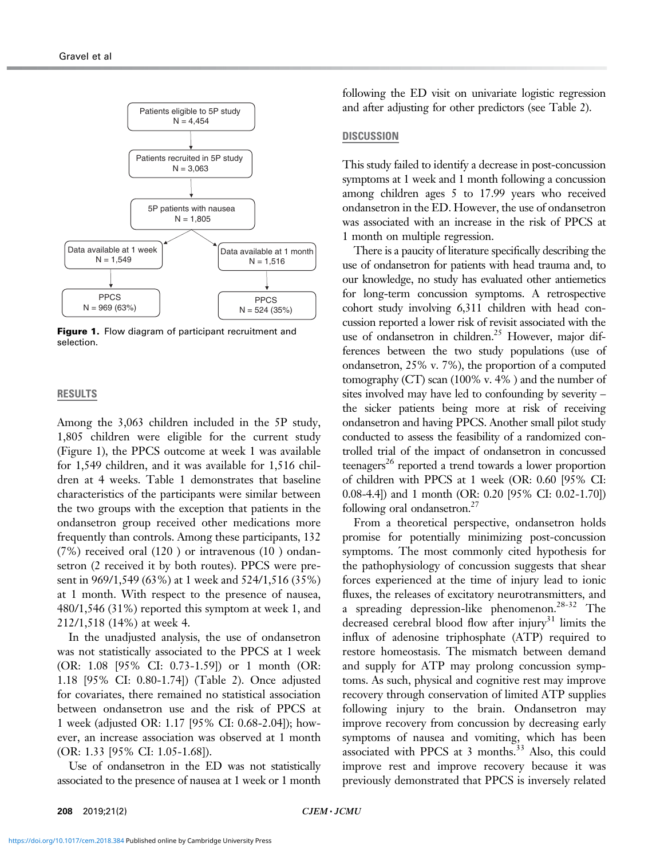

Figure 1. Flow diagram of participant recruitment and selection.

#### RESULTS

Among the 3,063 children included in the 5P study, 1,805 children were eligible for the current study (Figure 1), the PPCS outcome at week 1 was available for 1,549 children, and it was available for 1,516 children at 4 weeks. Table 1 demonstrates that baseline characteristics of the participants were similar between the two groups with the exception that patients in the ondansetron group received other medications more frequently than controls. Among these participants, 132 (7%) received oral (120 ) or intravenous (10 ) ondansetron (2 received it by both routes). PPCS were present in 969/1,549 (63%) at 1 week and 524/1,516 (35%) at 1 month. With respect to the presence of nausea, 480/1,546 (31%) reported this symptom at week 1, and 212/1,518 (14%) at week 4.

In the unadjusted analysis, the use of ondansetron was not statistically associated to the PPCS at 1 week (OR: 1.08 [95% CI: 0.73-1.59]) or 1 month (OR: 1.18 [95% CI: 0.80-1.74]) (Table 2). Once adjusted for covariates, there remained no statistical association between ondansetron use and the risk of PPCS at 1 week (adjusted OR: 1.17 [95% CI: 0.68-2.04]); however, an increase association was observed at 1 month (OR: 1.33 [95% CI: 1.05-1.68]).

Use of ondansetron in the ED was not statistically associated to the presence of nausea at 1 week or 1 month

following the ED visit on univariate logistic regression and after adjusting for other predictors (see Table 2).

## **DISCUSSION**

This study failed to identify a decrease in post-concussion symptoms at 1 week and 1 month following a concussion among children ages 5 to 17.99 years who received ondansetron in the ED. However, the use of ondansetron was associated with an increase in the risk of PPCS at 1 month on multiple regression.

There is a paucity of literature specifically describing the use of ondansetron for patients with head trauma and, to our knowledge, no study has evaluated other antiemetics for long-term concussion symptoms. A retrospective cohort study involving 6,311 children with head concussion reported a lower risk of revisit associated with the use of ondansetron in children.<sup>25</sup> However, major differences between the two study populations (use of ondansetron, 25% v. 7%), the proportion of a computed tomography (CT) scan (100% v. 4% ) and the number of sites involved may have led to confounding by severity – the sicker patients being more at risk of receiving ondansetron and having PPCS. Another small pilot study conducted to assess the feasibility of a randomized controlled trial of the impact of ondansetron in concussed teenagers<sup>26</sup> reported a trend towards a lower proportion of children with PPCS at 1 week (OR: 0.60 [95% CI: 0.08-4.4]) and 1 month (OR: 0.20 [95% CI: 0.02-1.70]) following oral ondansetron.<sup>27</sup>

From a theoretical perspective, ondansetron holds promise for potentially minimizing post-concussion symptoms. The most commonly cited hypothesis for the pathophysiology of concussion suggests that shear forces experienced at the time of injury lead to ionic fluxes, the releases of excitatory neurotransmitters, and a spreading depression-like phenomenon.<sup>28-32</sup> The decreased cerebral blood flow after injury<sup>31</sup> limits the influx of adenosine triphosphate (ATP) required to restore homeostasis. The mismatch between demand and supply for ATP may prolong concussion symptoms. As such, physical and cognitive rest may improve recovery through conservation of limited ATP supplies following injury to the brain. Ondansetron may improve recovery from concussion by decreasing early symptoms of nausea and vomiting, which has been associated with PPCS at 3 months.<sup>33</sup> Also, this could improve rest and improve recovery because it was previously demonstrated that PPCS is inversely related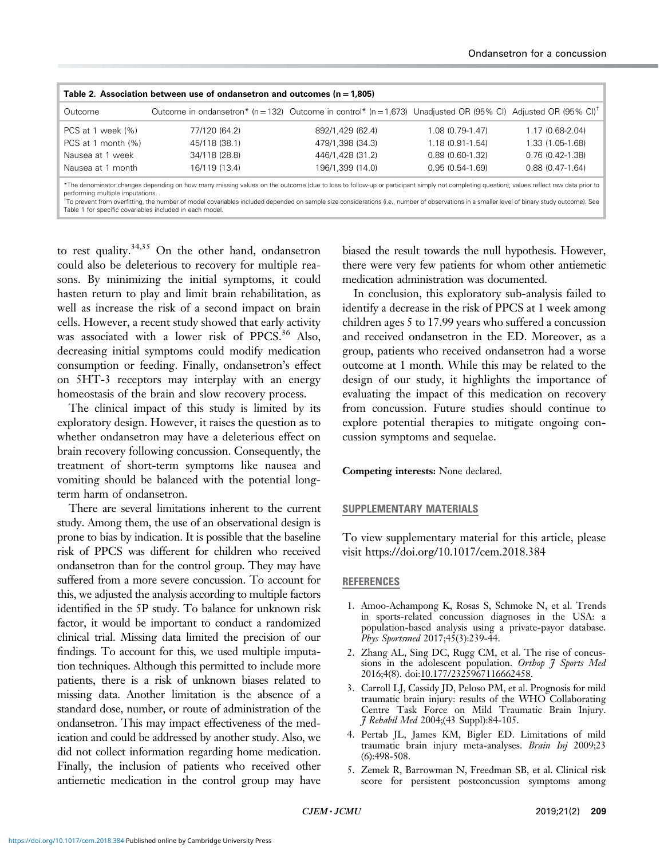| Table 2. Association between use of ondansetron and outcomes ( $n = 1,805$ )                                                                                                                                                                                                                                                                                                                                                                                                                        |                                                                                                                            |                  |                     |                     |  |  |  |  |
|-----------------------------------------------------------------------------------------------------------------------------------------------------------------------------------------------------------------------------------------------------------------------------------------------------------------------------------------------------------------------------------------------------------------------------------------------------------------------------------------------------|----------------------------------------------------------------------------------------------------------------------------|------------------|---------------------|---------------------|--|--|--|--|
| Outcome                                                                                                                                                                                                                                                                                                                                                                                                                                                                                             | Outcome in ondansetron* (n = 132) Outcome in control* (n = 1,673) Unadjusted OR (95% CI) Adjusted OR (95% CI) <sup>†</sup> |                  |                     |                     |  |  |  |  |
| PCS at 1 week (%)                                                                                                                                                                                                                                                                                                                                                                                                                                                                                   | 77/120 (64.2)                                                                                                              | 892/1,429 (62.4) | 1.08 (0.79-1.47)    | $1.17(0.68-2.04)$   |  |  |  |  |
| PCS at 1 month (%)                                                                                                                                                                                                                                                                                                                                                                                                                                                                                  | 45/118 (38.1)                                                                                                              | 479/1,398 (34.3) | $1.18(0.91 - 1.54)$ | 1.33 (1.05-1.68)    |  |  |  |  |
| Nausea at 1 week                                                                                                                                                                                                                                                                                                                                                                                                                                                                                    | 34/118 (28.8)                                                                                                              | 446/1.428 (31.2) | $0.89(0.60-1.32)$   | $0.76(0.42 - 1.38)$ |  |  |  |  |
| Nausea at 1 month                                                                                                                                                                                                                                                                                                                                                                                                                                                                                   | 16/119 (13.4)                                                                                                              | 196/1.399 (14.0) | $0.95(0.54-1.69)$   | $0.88(0.47-1.64)$   |  |  |  |  |
| *The denominator changes depending on how many missing values on the outcome (due to loss to follow-up or participant simply not completing question); values reflect raw data prior to<br>performing multiple imputations.<br><sup>+</sup> To prevent from overfitting, the number of model covariables included depended on sample size considerations (i.e., number of observations in a smaller level of binary study outcome). See<br>Table 1 for specific covariables included in each model. |                                                                                                                            |                  |                     |                     |  |  |  |  |

to rest quality.<sup>34,35</sup> On the other hand, ondansetron could also be deleterious to recovery for multiple reasons. By minimizing the initial symptoms, it could hasten return to play and limit brain rehabilitation, as well as increase the risk of a second impact on brain cells. However, a recent study showed that early activity was associated with a lower risk of PPCS.<sup>36</sup> Also, decreasing initial symptoms could modify medication consumption or feeding. Finally, ondansetron's effect on 5HT-3 receptors may interplay with an energy homeostasis of the brain and slow recovery process.

The clinical impact of this study is limited by its exploratory design. However, it raises the question as to whether ondansetron may have a deleterious effect on brain recovery following concussion. Consequently, the treatment of short-term symptoms like nausea and vomiting should be balanced with the potential longterm harm of ondansetron.

There are several limitations inherent to the current study. Among them, the use of an observational design is prone to bias by indication. It is possible that the baseline risk of PPCS was different for children who received ondansetron than for the control group. They may have suffered from a more severe concussion. To account for this, we adjusted the analysis according to multiple factors identified in the 5P study. To balance for unknown risk factor, it would be important to conduct a randomized clinical trial. Missing data limited the precision of our findings. To account for this, we used multiple imputation techniques. Although this permitted to include more patients, there is a risk of unknown biases related to missing data. Another limitation is the absence of a standard dose, number, or route of administration of the ondansetron. This may impact effectiveness of the medication and could be addressed by another study. Also, we did not collect information regarding home medication. Finally, the inclusion of patients who received other antiemetic medication in the control group may have biased the result towards the null hypothesis. However, there were very few patients for whom other antiemetic medication administration was documented.

In conclusion, this exploratory sub-analysis failed to identify a decrease in the risk of PPCS at 1 week among children ages 5 to 17.99 years who suffered a concussion and received ondansetron in the ED. Moreover, as a group, patients who received ondansetron had a worse outcome at 1 month. While this may be related to the design of our study, it highlights the importance of evaluating the impact of this medication on recovery from concussion. Future studies should continue to explore potential therapies to mitigate ongoing concussion symptoms and sequelae.

## Competing interests: None declared.

#### SUPPLEMENTARY MATERIALS

To view supplementary material for this article, please visit https://doi.org/10.1017/cem.2018.384

#### REFERENCES

- 1. Amoo-Achampong K, Rosas S, Schmoke N, et al. Trends in sports-related concussion diagnoses in the USA: a population-based analysis using a private-payor database. Phys Sportsmed 2017;45(3):239-44.
- 2. Zhang AL, Sing DC, Rugg CM, et al. The rise of concussions in the adolescent population. Orthop 7 Sports Med 2016;4(8). doi:[10.177/2325967116662458](https://doi.org/10.177�/�2325967116662458).
- 3. Carroll LJ, Cassidy JD, Peloso PM, et al. Prognosis for mild traumatic brain injury: results of the WHO Collaborating Centre Task Force on Mild Traumatic Brain Injury. J Rehabil Med 2004;(43 Suppl):84-105.
- 4. Pertab JL, James KM, Bigler ED. Limitations of mild traumatic brain injury meta-analyses. Brain Inj 2009;23 (6):498-508.
- 5. Zemek R, Barrowman N, Freedman SB, et al. Clinical risk score for persistent postconcussion symptoms among